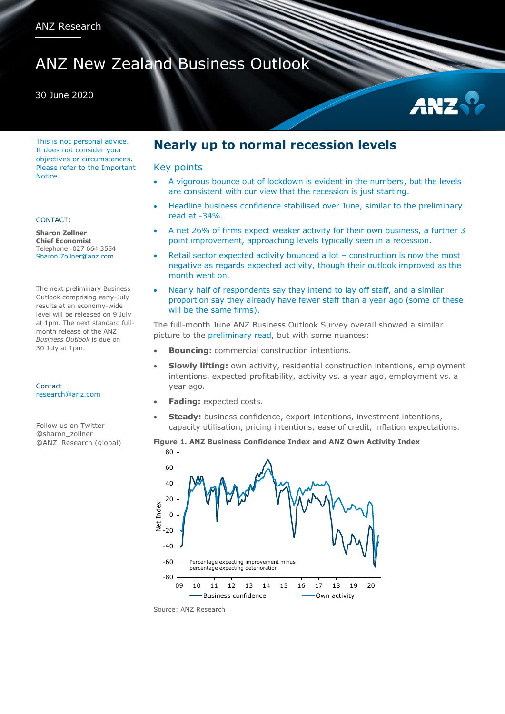# ANZ New Zealand Business Outlook

#### 30 June 2020

This is not personal advice. It does not consider your objectives or circumstances. Please refer to the Important Notice.

#### CONTACT:

**Sharon Zollner Chief Economist** Telephone: 027 664 3554 Sharon.Zollner@anz.com

The next preliminary Business Outlook comprising early-July results at an economy-wide level will be released on 9 July at 1pm. The next standard fullmonth release of the ANZ *Business Outlook* is due on 30 July at 1pm.

Contact [research@anz.com](mailto:research@anz.com)

Follow us on Twitter @sharon\_zollner @ANZ\_Research (global)

## **Nearly up to normal recession levels**

#### Key points

- A vigorous bounce out of lockdown is evident in the numbers, but the levels are consistent with our view that the recession is just starting.
- Headline business confidence stabilised over June, similar to the preliminary read at -34%.
- A net 26% of firms expect weaker activity for their own business, a further 3 point improvement, approaching levels typically seen in a recession.
- Retail sector expected activity bounced a lot construction is now the most negative as regards expected activity, though their outlook improved as the month went on.
- Nearly half of respondents say they intend to lay off staff, and a similar proportion say they already have fewer staff than a year ago (some of these will be the same firms).

The full-month June ANZ Business Outlook Survey overall showed a similar picture to the [preliminary read,](https://bit.ly/ANZ-BOPrelim-20200609-SIT) but with some nuances:

- **Bouncing:** commercial construction intentions.
- **Slowly lifting:** own activity, residential construction intentions, employment intentions, expected profitability, activity vs. a year ago, employment vs. a year ago.
- **Fading:** expected costs.
- **Steady:** business confidence, export intentions, investment intentions, capacity utilisation, pricing intentions, ease of credit, inflation expectations.

#### **Figure 1. ANZ Business Confidence Index and ANZ Own Activity Index**



Source: ANZ Research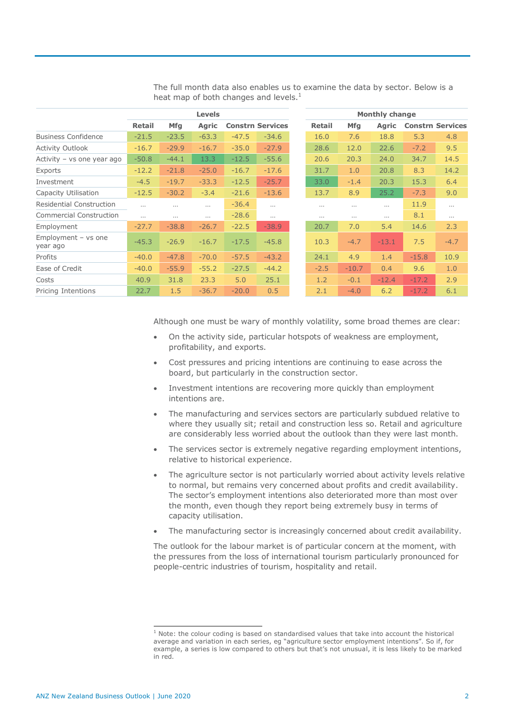|                                   | <b>Levels</b> |            |              |         |                         | <b>Monthly change</b> |            |              |                         |        |  |
|-----------------------------------|---------------|------------|--------------|---------|-------------------------|-----------------------|------------|--------------|-------------------------|--------|--|
|                                   | <b>Retail</b> | <b>Mfg</b> | <b>Agric</b> |         | <b>Constrn Services</b> | Retail                | <b>Mfg</b> | <b>Agric</b> | <b>Constrn Services</b> |        |  |
| <b>Business Confidence</b>        | $-21.5$       | $-23.5$    | $-63.3$      | $-47.5$ | $-34.6$                 | 16.0                  | 7.6        | 18.8         | 5.3                     |        |  |
| <b>Activity Outlook</b>           | $-16.7$       | $-29.9$    | $-16.7$      | $-35.0$ | $-27.9$                 | 28.6                  | 12.0       | 22.6         | $-7.2$                  |        |  |
| Activity - vs one year ago        | $-50.8$       | $-44.1$    | 13.3         | $-12.5$ | $-55.6$                 | 20.6                  | 20.3       | 24.0         | 34.7                    | 14.5   |  |
| Exports                           | $-12.2$       | $-21.8$    | $-25.0$      | $-16.7$ | $-17.6$                 | 31.7                  | 1.0        | 20.8         | 8.3                     |        |  |
| Investment                        | $-4.5$        | $-19.7$    | $-33.3$      | $-12.5$ | $-25.7$                 | 33.0                  | $-1.4$     | 20.3         | 15.3                    |        |  |
| Capacity Utilisation              | $-12.5$       | $-30.2$    | $-3.4$       | $-21.6$ | $-13.6$                 | 13.7                  | 8.9        | 25.2         | $-7.3$                  |        |  |
| <b>Residential Construction</b>   |               |            | $\cdots$     | $-36.4$ | $\cdots$                | $\cdots$              | $\cdots$   | $\cdots$     | 11.9                    |        |  |
| <b>Commercial Construction</b>    | $\cdots$      | $\cdots$   | $\cdots$     | $-28.6$ | $\cdots$                | $\cdots$              | $\cdots$   | $\cdots$     | 8.1                     |        |  |
| Employment                        | $-27.7$       | $-38.8$    | $-26.7$      | $-22.5$ | $-38.9$                 | 20.7                  | 7.0        | 5.4          | 14.6                    |        |  |
| Employment $-$ vs one<br>year ago | $-45.3$       | $-26.9$    | $-16.7$      | $-17.5$ | $-45.8$                 | 10.3                  | $-4.7$     | $-13.1$      | 7.5                     | $-4.7$ |  |
| Profits                           | $-40.0$       | $-47.8$    | $-70.0$      | $-57.5$ | $-43.2$                 | 24.1                  | 4.9        | 1.4          | $-15.8$                 | 10.9   |  |
| Ease of Credit                    | $-40.0$       | $-55.9$    | $-55.2$      | $-27.5$ | $-44.2$                 | $-2.5$                | $-10.7$    | 0.4          | 9.6                     |        |  |
| Costs                             | 40.9          | 31.8       | 23.3         | 5.0     | 25.1                    | 1.2                   | $-0.1$     | $-12.4$      | $-17.2$                 |        |  |
| Pricing Intentions                | 22.7          | 1.5        | $-36.7$      | $-20.0$ | 0.5                     | 2.1                   | $-4.0$     | 6.2          | $-17.2$                 | 6.1    |  |

The full month data also enables us to examine the data by sector. Below is a heat map of both changes and levels. $<sup>1</sup>$ </sup>

Although one must be wary of monthly volatility, some broad themes are clear:

- On the activity side, particular hotspots of weakness are employment, profitability, and exports.
- Cost pressures and pricing intentions are continuing to ease across the board, but particularly in the construction sector.
- Investment intentions are recovering more quickly than employment intentions are.
- The manufacturing and services sectors are particularly subdued relative to where they usually sit; retail and construction less so. Retail and agriculture are considerably less worried about the outlook than they were last month.
- The services sector is extremely negative regarding employment intentions, relative to historical experience.
- The agriculture sector is not particularly worried about activity levels relative to normal, but remains very concerned about profits and credit availability. The sector's employment intentions also deteriorated more than most over the month, even though they report being extremely busy in terms of capacity utilisation.
- The manufacturing sector is increasingly concerned about credit availability.

The outlook for the labour market is of particular concern at the moment, with the pressures from the loss of international tourism particularly pronounced for people-centric industries of tourism, hospitality and retail.

 $1$  Note: the colour coding is based on standardised values that take into account the historical average and variation in each series, eg "agriculture sector employment intentions". So if, for example, a series is low compared to others but that's not unusual, it is less likely to be marked in red.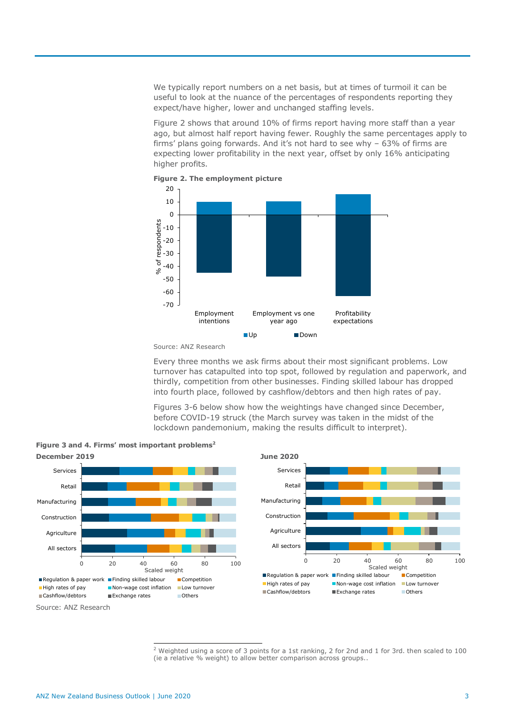We typically report numbers on a net basis, but at times of turmoil it can be useful to look at the nuance of the percentages of respondents reporting they expect/have higher, lower and unchanged staffing levels.

Figure 2 shows that around 10% of firms report having more staff than a year ago, but almost half report having fewer. Roughly the same percentages apply to firms' plans going forwards. And it's not hard to see why – 63% of firms are expecting lower profitability in the next year, offset by only 16% anticipating higher profits.





Every three months we ask firms about their most significant problems. Low turnover has catapulted into top spot, followed by regulation and paperwork, and thirdly, competition from other businesses. Finding skilled labour has dropped into fourth place, followed by cashflow/debtors and then high rates of pay.

Figures 3-6 below show how the weightings have changed since December, before COVID-19 struck (the March survey was taken in the midst of the lockdown pandemonium, making the results difficult to interpret).



**Figure 3 and 4. Firms' most important problems<sup>2</sup>**

<sup>2</sup> Weighted using a score of 3 points for a 1st ranking, 2 for 2nd and 1 for 3rd. then scaled to 100 (ie a relative % weight) to allow better comparison across groups..

Source: ANZ Research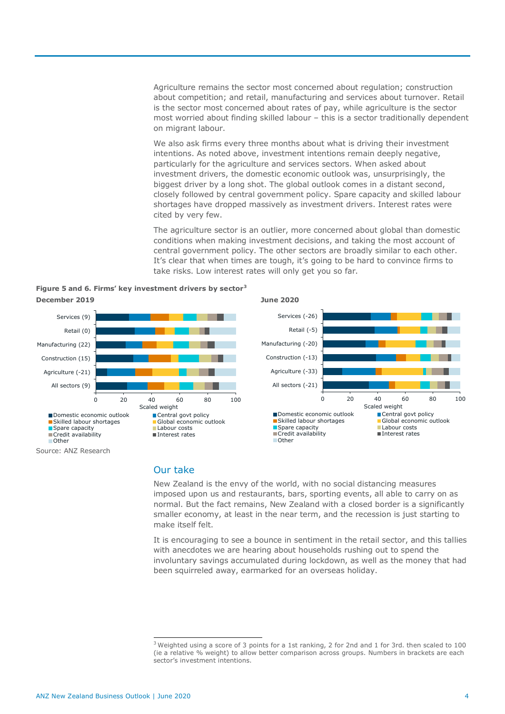Agriculture remains the sector most concerned about regulation; construction about competition; and retail, manufacturing and services about turnover. Retail is the sector most concerned about rates of pay, while agriculture is the sector most worried about finding skilled labour – this is a sector traditionally dependent on migrant labour.

We also ask firms every three months about what is driving their investment intentions. As noted above, investment intentions remain deeply negative, particularly for the agriculture and services sectors. When asked about investment drivers, the domestic economic outlook was, unsurprisingly, the biggest driver by a long shot. The global outlook comes in a distant second, closely followed by central government policy. Spare capacity and skilled labour shortages have dropped massively as investment drivers. Interest rates were cited by very few.

The agriculture sector is an outlier, more concerned about global than domestic conditions when making investment decisions, and taking the most account of central government policy. The other sectors are broadly similar to each other. It's clear that when times are tough, it's going to be hard to convince firms to take risks. Low interest rates will only get you so far.

**Figure 5 and 6. Firms' key investment drivers by sector<sup>3</sup> December 2019 June 2020**



### Our take

New Zealand is the envy of the world, with no social distancing measures imposed upon us and restaurants, bars, sporting events, all able to carry on as normal. But the fact remains, New Zealand with a closed border is a significantly smaller economy, at least in the near term, and the recession is just starting to make itself felt.

It is encouraging to see a bounce in sentiment in the retail sector, and this tallies with anecdotes we are hearing about households rushing out to spend the involuntary savings accumulated during lockdown, as well as the money that had been squirreled away, earmarked for an overseas holiday.

 $3$  Weighted using a score of 3 points for a 1st ranking, 2 for 2nd and 1 for 3rd. then scaled to 100 (ie a relative % weight) to allow better comparison across groups. Numbers in brackets are each sector's investment intentions.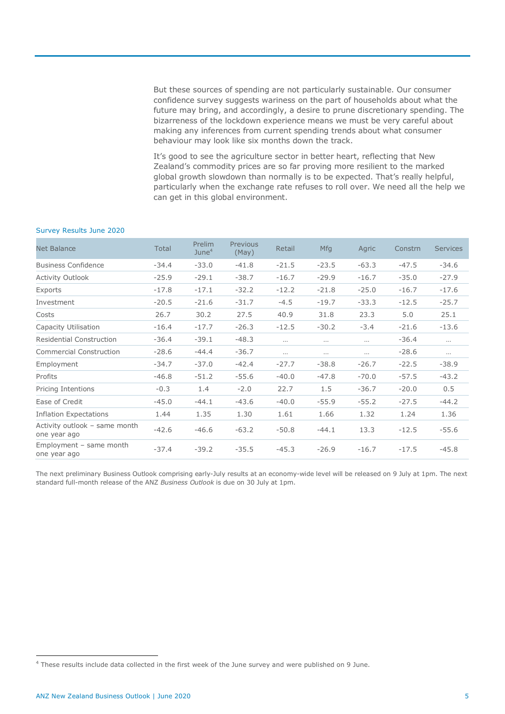But these sources of spending are not particularly sustainable. Our consumer confidence survey suggests wariness on the part of households about what the future may bring, and accordingly, a desire to prune discretionary spending. The bizarreness of the lockdown experience means we must be very careful about making any inferences from current spending trends about what consumer behaviour may look like six months down the track.

It's good to see the agriculture sector in better heart, reflecting that New Zealand's commodity prices are so far proving more resilient to the marked global growth slowdown than normally is to be expected. That's really helpful, particularly when the exchange rate refuses to roll over. We need all the help we can get in this global environment.

#### Survey Results June 2020

| <b>Net Balance</b>                            | Total   | Prelim<br>June <sup>4</sup> | Previous<br>(May) | Retail   | <b>Mfg</b> | Agric   | Constrn | <b>Services</b> |
|-----------------------------------------------|---------|-----------------------------|-------------------|----------|------------|---------|---------|-----------------|
| <b>Business Confidence</b>                    | $-34.4$ | $-33.0$                     | $-41.8$           | $-21.5$  | $-23.5$    | $-63.3$ | $-47.5$ | $-34.6$         |
| <b>Activity Outlook</b>                       | $-25.9$ | $-29.1$                     | $-38.7$           | $-16.7$  | $-29.9$    | $-16.7$ | $-35.0$ | $-27.9$         |
| Exports                                       | $-17.8$ | $-17.1$                     | $-32.2$           | $-12.2$  | $-21.8$    | $-25.0$ | $-16.7$ | $-17.6$         |
| Investment                                    | $-20.5$ | $-21.6$                     | $-31.7$           | $-4.5$   | $-19.7$    | $-33.3$ | $-12.5$ | $-25.7$         |
| Costs                                         | 26.7    | 30.2                        | 27.5              | 40.9     | 31.8       | 23.3    | 5.0     | 25.1            |
| Capacity Utilisation                          | $-16.4$ | $-17.7$                     | $-26.3$           | $-12.5$  | $-30.2$    | $-3.4$  | $-21.6$ | $-13.6$         |
| <b>Residential Construction</b>               | $-36.4$ | $-39.1$                     | $-48.3$           | $\cdots$ | $\cdots$   | .       | $-36.4$ | $\cdots$        |
| <b>Commercial Construction</b>                | $-28.6$ | $-44.4$                     | $-36.7$           | $\cdots$ |            |         | $-28.6$ | $\cdots$        |
| Employment                                    | $-34.7$ | $-37.0$                     | $-42.4$           | $-27.7$  | $-38.8$    | $-26.7$ | $-22.5$ | $-38.9$         |
| Profits                                       | $-46.8$ | $-51.2$                     | $-55.6$           | $-40.0$  | $-47.8$    | $-70.0$ | $-57.5$ | $-43.2$         |
| Pricing Intentions                            | $-0.3$  | 1.4                         | $-2.0$            | 22.7     | 1.5        | $-36.7$ | $-20.0$ | 0.5             |
| Ease of Credit                                | $-45.0$ | $-44.1$                     | $-43.6$           | $-40.0$  | $-55.9$    | $-55.2$ | $-27.5$ | $-44.2$         |
| <b>Inflation Expectations</b>                 | 1.44    | 1.35                        | 1.30              | 1.61     | 1.66       | 1.32    | 1.24    | 1.36            |
| Activity outlook - same month<br>one year ago | $-42.6$ | $-46.6$                     | $-63.2$           | $-50.8$  | $-44.1$    | 13.3    | $-12.5$ | $-55.6$         |
| Employment - same month<br>one year ago       | $-37.4$ | $-39.2$                     | $-35.5$           | $-45.3$  | $-26.9$    | $-16.7$ | $-17.5$ | $-45.8$         |

The next preliminary Business Outlook comprising early-July results at an economy-wide level will be released on 9 July at 1pm. The next standard full-month release of the ANZ *Business Outlook* is due on 30 July at 1pm.

 $\overline{a}$ 

<sup>&</sup>lt;sup>4</sup> These results include data collected in the first week of the June survey and were published on 9 June.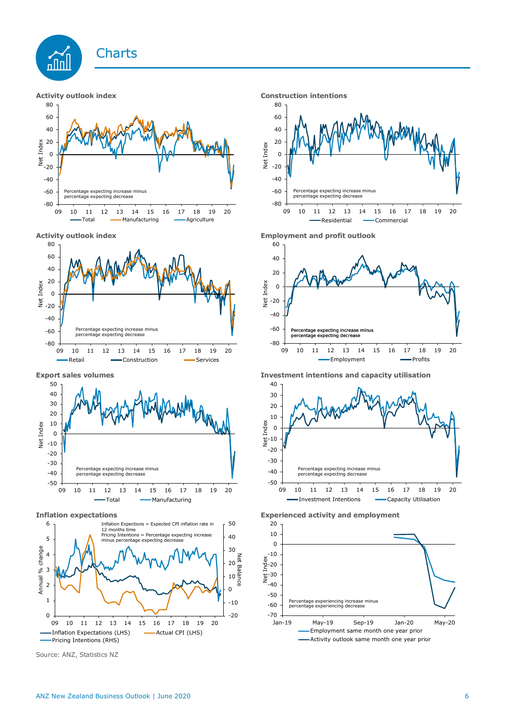









Source: ANZ, Statistics NZ







**Export sales volumes Investment intentions and capacity utilisation**



**Inflation expectations Experienced activity and employment**

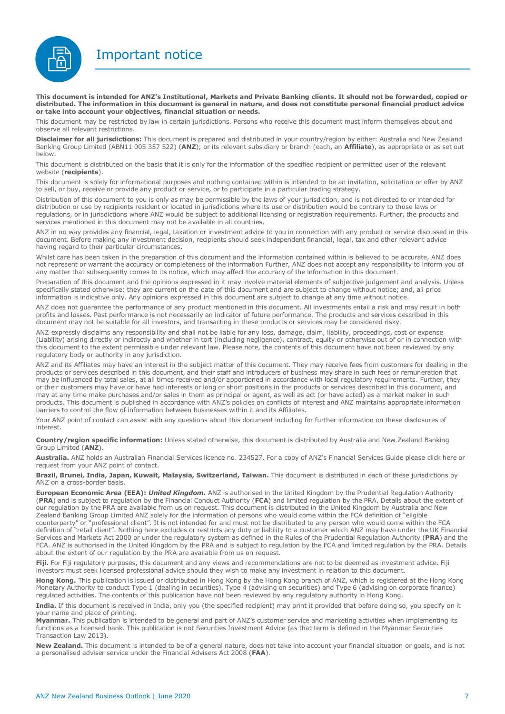Important notice



**This document is intended for ANZ's Institutional, Markets and Private Banking clients. It should not be forwarded, copied or distributed. The information in this document is general in nature, and does not constitute personal financial product advice or take into account your objectives, financial situation or needs.** 

This document may be restricted by law in certain jurisdictions. Persons who receive this document must inform themselves about and observe all relevant restrictions.

**Disclaimer for all jurisdictions:** This document is prepared and distributed in your country/region by either: Australia and New Zealand Banking Group Limited (ABN11 005 357 522) (**ANZ**); or its relevant subsidiary or branch (each, an **Affiliate**), as appropriate or as set out below.

This document is distributed on the basis that it is only for the information of the specified recipient or permitted user of the relevant website (**recipients**).

This document is solely for informational purposes and nothing contained within is intended to be an invitation, solicitation or offer by ANZ to sell, or buy, receive or provide any product or service, or to participate in a particular trading strategy.

Distribution of this document to you is only as may be permissible by the laws of your jurisdiction, and is not directed to or intended for distribution or use by recipients resident or located in jurisdictions where its use or distribution would be contrary to those laws or regulations, or in jurisdictions where ANZ would be subject to additional licensing or registration requirements. Further, the products and services mentioned in this document may not be available in all countries.

ANZ in no way provides any financial, legal, taxation or investment advice to you in connection with any product or service discussed in this document. Before making any investment decision, recipients should seek independent financial, legal, tax and other relevant advice having regard to their particular circumstances.

Whilst care has been taken in the preparation of this document and the information contained within is believed to be accurate, ANZ does not represent or warrant the accuracy or completeness of the information Further, ANZ does not accept any responsibility to inform you of any matter that subsequently comes to its notice, which may affect the accuracy of the information in this document.

Preparation of this document and the opinions expressed in it may involve material elements of subjective judgement and analysis. Unless specifically stated otherwise: they are current on the date of this document and are subject to change without notice; and, all price information is indicative only. Any opinions expressed in this document are subject to change at any time without notice.

ANZ does not guarantee the performance of any product mentioned in this document. All investments entail a risk and may result in both profits and losses. Past performance is not necessarily an indicator of future performance. The products and services described in this document may not be suitable for all investors, and transacting in these products or services may be considered risky.

ANZ expressly disclaims any responsibility and shall not be liable for any loss, damage, claim, liability, proceedings, cost or expense (Liability) arising directly or indirectly and whether in tort (including negligence), contract, equity or otherwise out of or in connection with this document to the extent permissible under relevant law. Please note, the contents of this document have not been reviewed by any regulatory body or authority in any jurisdiction.

ANZ and its Affiliates may have an interest in the subject matter of this document. They may receive fees from customers for dealing in the products or services described in this document, and their staff and introducers of business may share in such fees or remuneration that may be influenced by total sales, at all times received and/or apportioned in accordance with local regulatory requirements. Further, they or their customers may have or have had interests or long or short positions in the products or services described in this document, and may at any time make purchases and/or sales in them as principal or agent, as well as act (or have acted) as a market maker in such products. This document is published in accordance with ANZ's policies on conflicts of interest and ANZ maintains appropriate information barriers to control the flow of information between businesses within it and its Affiliates.

Your ANZ point of contact can assist with any questions about this document including for further information on these disclosures of interest.

**Country/region specific information:** Unless stated otherwise, this document is distributed by Australia and New Zealand Banking Group Limited (**ANZ**).

Australia. ANZ holds an Australian Financial Services licence no. 234527. For a copy of ANZ's Financial Services Guide please [click here](http://www.anz.com/documents/AU/aboutANZ/FinancialServicesGuide.pdf) or request from your ANZ point of contact.

**Brazil, Brunei, India, Japan, Kuwait, Malaysia, Switzerland, Taiwan.** This document is distributed in each of these jurisdictions by ANZ on a cross-border basis.

**European Economic Area (EEA):** *United Kingdom.* ANZ is authorised in the United Kingdom by the Prudential Regulation Authority (**PRA**) and is subject to regulation by the Financial Conduct Authority (**FCA**) and limited regulation by the PRA. Details about the extent of our regulation by the PRA are available from us on request. This document is distributed in the United Kingdom by Australia and New Zealand Banking Group Limited ANZ solely for the information of persons who would come within the FCA definition of "eligible counterparty" or "professional client". It is not intended for and must not be distributed to any person who would come within the FCA definition of "retail client". Nothing here excludes or restricts any duty or liability to a customer which ANZ may have under the UK Financial Services and Markets Act 2000 or under the regulatory system as defined in the Rules of the Prudential Regulation Authority (**PRA**) and the FCA. ANZ is authorised in the United Kingdom by the PRA and is subject to regulation by the FCA and limited regulation by the PRA. Details about the extent of our regulation by the PRA are available from us on request.

**Fiji.** For Fiji regulatory purposes, this document and any views and recommendations are not to be deemed as investment advice. Fiji investors must seek licensed professional advice should they wish to make any investment in relation to this document.

**Hong Kong.** This publication is issued or distributed in Hong Kong by the Hong Kong branch of ANZ, which is registered at the Hong Kong Monetary Authority to conduct Type 1 (dealing in securities), Type 4 (advising on securities) and Type 6 (advising on corporate finance) regulated activities. The contents of this publication have not been reviewed by any regulatory authority in Hong Kong.

**India.** If this document is received in India, only you (the specified recipient) may print it provided that before doing so, you specify on it your name and place of printing.

**Myanmar.** This publication is intended to be general and part of ANZ's customer service and marketing activities when implementing its functions as a licensed bank. This publication is not Securities Investment Advice (as that term is defined in the Myanmar Securities Transaction Law 2013).

**New Zealand.** This document is intended to be of a general nature, does not take into account your financial situation or goals, and is not a personalised adviser service under the Financial Advisers Act 2008 (**FAA**).